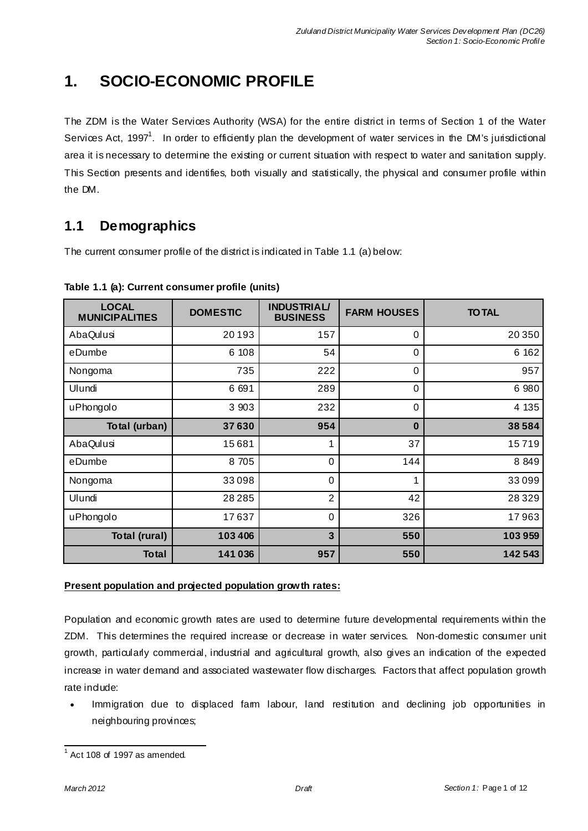# **1. SOCIO-ECONOMIC PROFILE**

The ZDM is the Water Services Authority (WSA) for the entire district in terms of Section 1 of the Water Services Act, 1997<sup>1</sup>. In order to efficiently plan the development of water services in the DM's jurisdictional area it is necessary to determine the existing or current situation with respect to water and sanitation supply. This Section presents and identifies, both visually and statistically, the physical and consumer profile within the DM.

# **1.1 Demographics**

The current consumer profile of the district is indicated in Table 1.1 (a) below:

| <b>LOCAL</b><br><b>MUNICIPALITIES</b> | <b>DOMESTIC</b> | <b>INDUSTRIAL/</b><br><b>BUSINESS</b> | <b>FARM HOUSES</b> | <b>TO TAL</b> |
|---------------------------------------|-----------------|---------------------------------------|--------------------|---------------|
| AbaQulusi                             | 20193           | 157                                   | $\Omega$           | 20 350        |
| eDumbe                                | 6 108           | 54                                    | $\overline{0}$     | 6 1 6 2       |
| Nongoma                               | 735             | 222                                   | $\Omega$           | 957           |
| Ulundi                                | 6 691           | 289                                   | $\Omega$           | 6 9 8 0       |
| uPhongolo                             | 3 9 0 3         | 232                                   | $\Omega$           | 4 1 3 5       |
| Total (urban)                         | 37630           | 954                                   | $\bf{0}$           | 38584         |
| AbaQulusi                             | 15681           | 1                                     | 37                 | 15719         |
| eDumbe                                | 8 7 0 5         | 0                                     | 144                | 8 8 4 9       |
| Nongoma                               | 33098           | 0                                     | 1                  | 33099         |
| Ulundi                                | 28 2 8 5        | $\overline{2}$                        | 42                 | 28329         |
| uPhongolo                             | 17637           | $\Omega$                              | 326                | 17963         |
| Total (rural)                         | 103 406         | $\overline{\mathbf{3}}$               | 550                | 103959        |
| <b>Total</b>                          | 141 036         | 957                                   | 550                | 142543        |

**Table 1.1 (a): Current consumer profile (units)** 

### **Present population and projected population growth rates:**

Population and economic growth rates are used to determine future developmental requirements within the ZDM. This determines the required increase or decrease in water services. Non-domestic consumer unit growth, particularly commercial, industrial and agricultural growth, also gives an indication of the expected increase in water demand and associated wastewater flow discharges. Factors that affect population growth rate indude:

• Immigration due to displaced farm labour, land restitution and declining job opportunities in neighbouring provinces;

 $\frac{1}{1}$  Act 108 of 1997 as amended.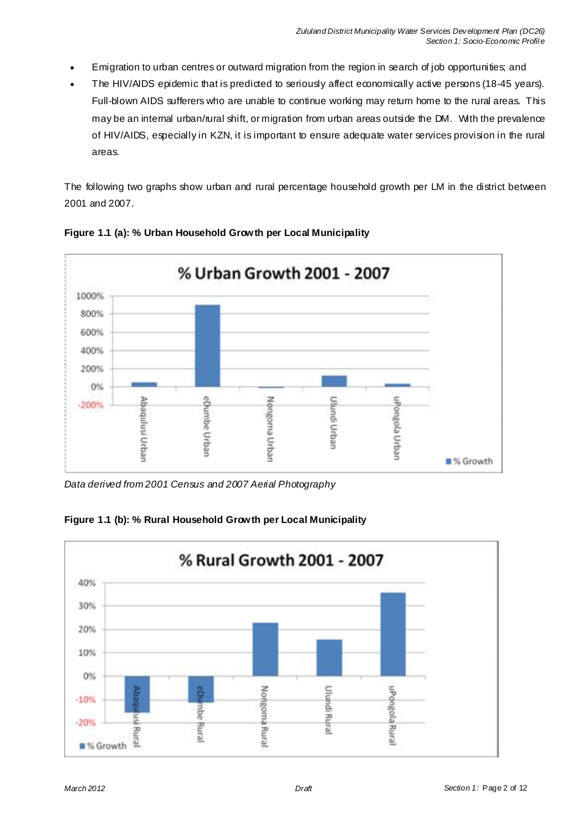- Emigration to urban centres or outward migration from the region in search of job opportunities; and
- The HIV/AIDS epidemic that is predicted to seriously affect economically active persons (18-45 years). Full-blown AIDS sufferers who are unable to continue working may return home to the rural areas. This may be an internal urban/rural shift, or migration from urban areas outside the DM. With the prevalence of HIV/AIDS, especially in KZN, it is important to ensure adequate water services provision in the rural areas.

The following two graphs show urban and rural percentage household growth per LM in the district between 2001 and 2007.



**Figure 1.1 (a): % Urban Household Growth per Local Municipality**

*Data derived from 2001 Census and 2007 Aerial Photography*



**Figure 1.1 (b): % Rural Household Growth per Local Municipality**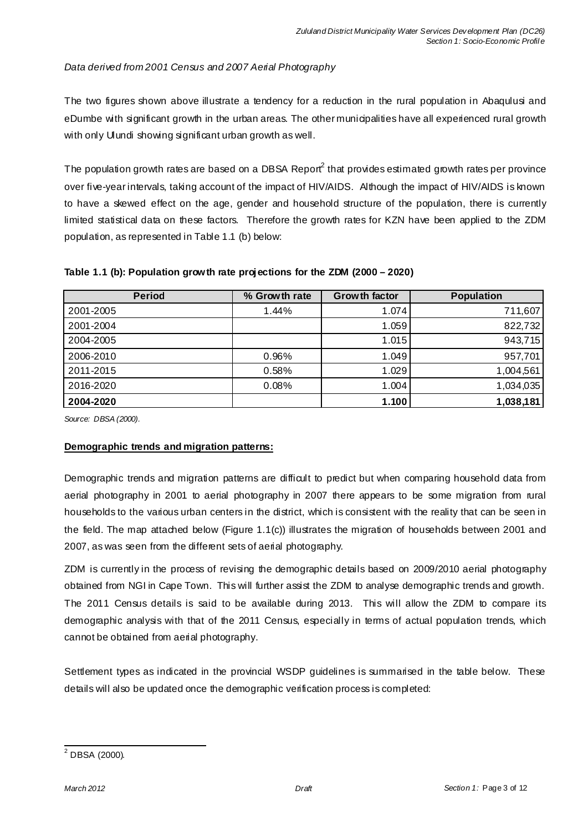### *Data derived from 2001 Census and 2007 Aerial Photography*

The two figures shown above illustrate a tendency for a reduction in the rural population in Abaqulusi and eDumbe with significant growth in the urban areas. The other municipalities have all experienced rural growth with only Ulundi showing significant urban growth as well.

The population growth rates are based on a DBSA Report $^2$  that provides estimated growth rates per province over five-year intervals, taking account of the impact of HIV/AIDS. Although the impact of HIV/AIDS is known to have a skewed effect on the age, gender and household structure of the population, there is currently limited statistical data on these factors. Therefore the growth rates for KZN have been applied to the ZDM population, as represented in Table 1.1 (b) below:

| <b>Period</b> | % Growth rate | <b>Growth factor</b> | <b>Population</b> |
|---------------|---------------|----------------------|-------------------|
| 2001-2005     | 1.44%         | 1.074                | 711,607           |
| 2001-2004     |               | 1.059                | 822,732           |
| 2004-2005     |               | 1.015                | 943,715           |
| 2006-2010     | 0.96%         | 1.049                | 957,701           |
| 2011-2015     | 0.58%         | 1.029                | 1,004,561         |
| 2016-2020     | 0.08%         | 1.004                | 1,034,035         |
| 2004-2020     |               | 1.100                | 1,038,181         |

#### **Table 1.1 (b): Population growth rate projections for the ZDM (2000 – 2020)**

*Source: DBSA (2000).* 

#### **Demographic trends and migration patterns:**

Demographic trends and migration patterns are difficult to predict but when comparing household data from aerial photography in 2001 to aerial photography in 2007 there appears to be some migration from rural households to the various urban centers in the district, which is consistent with the reality that can be seen in the field. The map attached below (Figure 1.1(c)) illustrates the migration of households between 2001 and 2007, as was seen from the different sets of aerial photography.

ZDM is currently in the process of revising the demographic details based on 2009/2010 aerial photography obtained from NGI in Cape Town. This will further assist the ZDM to analyse demographic trends and growth. The 2011 Census details is said to be available during 2013. This will allow the ZDM to compare its demographic analysis with that of the 2011 Census, especially in terms of actual population trends, which cannot be obtained from aerial photography.

Settlement types as indicated in the provincial WSDP guidelines is summarised in the table below. These details will also be updated once the demographic verification process is completed:

<sup>-&</sup>lt;br><sup>2</sup> DBSA (2000).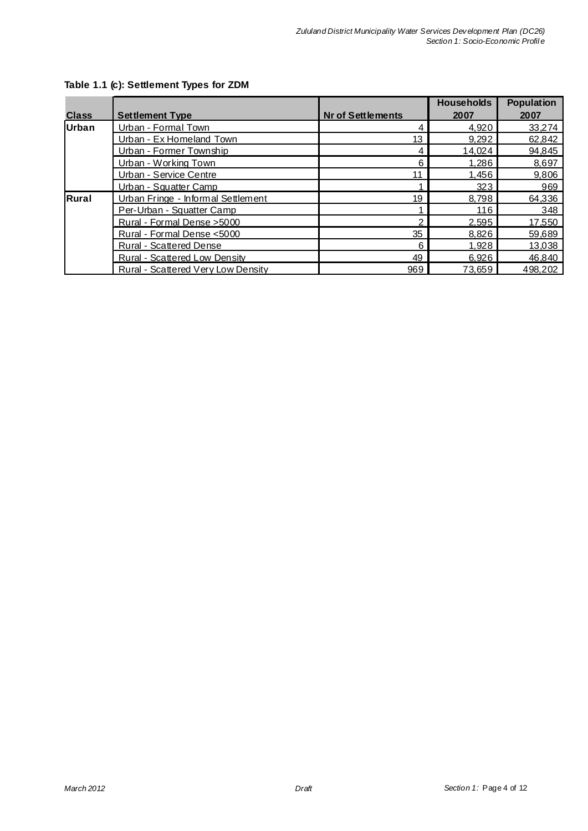|              |                                      |                          | <b>Households</b> | <b>Population</b> |
|--------------|--------------------------------------|--------------------------|-------------------|-------------------|
| <b>Class</b> | <b>Settlement Type</b>               | <b>Nr of Settlements</b> | 2007              | 2007              |
| Urban        | Urban - Formal Town                  | 4                        | 4,920             | 33,274            |
|              | Urban - Ex Homeland Town             | 13                       | 9,292             | 62,842            |
|              | Urban - Former Township              | 4                        | 14,024            | 94,845            |
|              | Urban - Working Town                 | 6                        | 1,286             | 8,697             |
|              | Urban - Service Centre               | 11                       | 1.456             | 9,806             |
|              | Urban - Squatter Camp                |                          | 323               | 969               |
| Rural        | Urban Fringe - Informal Settlement   | 19                       | 8.798             | 64,336            |
|              | Per-Urban - Squatter Camp            |                          | 116               | 348               |
|              | Rural - Formal Dense > 5000          |                          | 2.595             | 17,550            |
|              | Rural - Formal Dense <5000           | 35                       | 8,826             | 59,689            |
|              | Rural - Scattered Dense              | 6                        | 1.928             | 13,038            |
|              | <b>Rural - Scattered Low Density</b> | 49                       | 6,926             | 46,840            |
|              | Rural - Scattered Very Low Density   | 969                      | 73.659            | 498,202           |

### **Table 1.1 (c): Settlement Types for ZDM**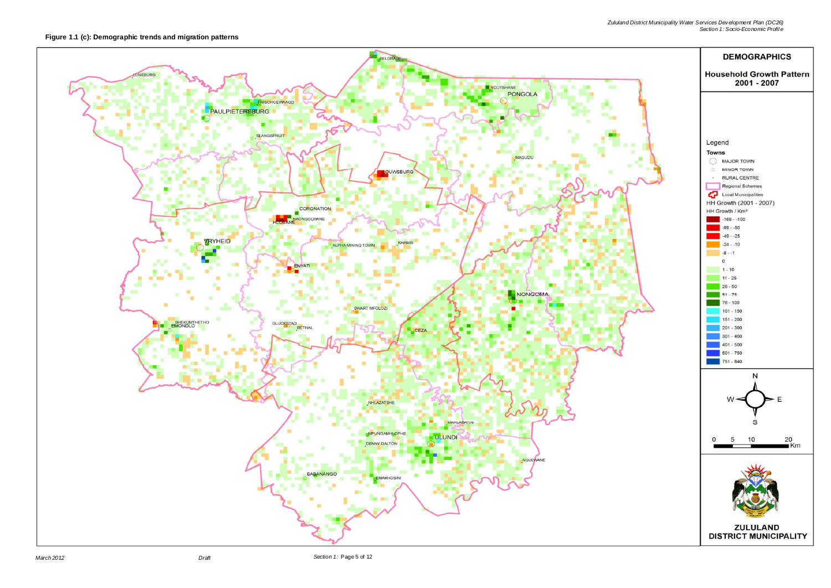

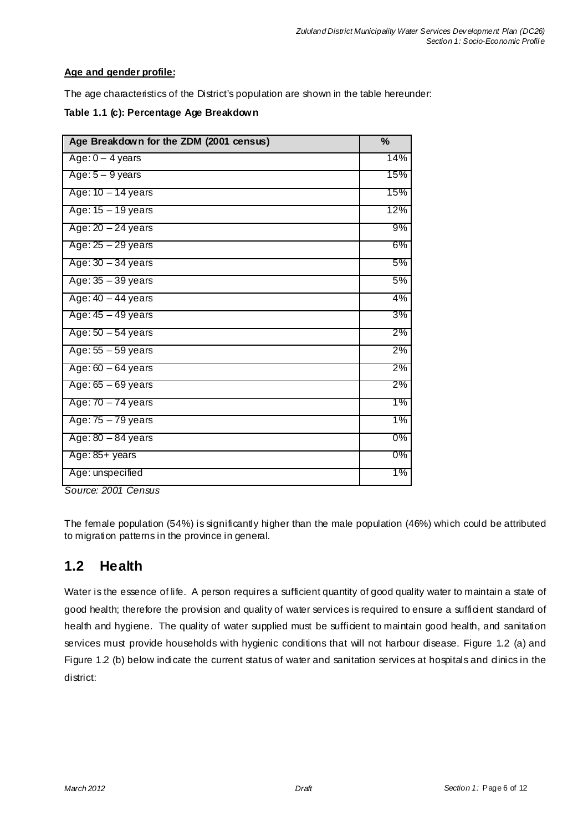### **Age and gender profile:**

The age characteristics of the District's population are shown in the table hereunder:

|  |  |  | Table 1.1 (c): Percentage Age Breakdown |
|--|--|--|-----------------------------------------|
|--|--|--|-----------------------------------------|

| Age Breakdown for the ZDM (2001 census) | %     |
|-----------------------------------------|-------|
| Age: $0 - 4$ years                      | 14%   |
| Age: $5 - 9$ years                      | 15%   |
| Age: 10 - 14 years                      | 15%   |
| Age: 15 - 19 years                      | 12%   |
| Age: $20 - 24$ years                    | 9%    |
| Age: 25 - 29 years                      | 6%    |
| Age: $30 - 34$ years                    | 5%    |
| Age: $35 - 39$ years                    | 5%    |
| Age: $40 - 44$ years                    | 4%    |
| Age: 45 - 49 years                      | 3%    |
| Age: $50 - 54$ years                    | 2%    |
| Age: $55 - 59$ years                    | 2%    |
| Age: $60 - 64$ years                    | 2%    |
| Age: $65 - 69$ years                    | 2%    |
| Age: 70 - 74 years                      | 1%    |
| Age: 75 - 79 years                      | 1%    |
| Age: $80 - 84$ years                    | $0\%$ |
| Age: 85+ years                          | 0%    |
| Age: unspecified                        | 1%    |

*Source: 2001 Census* 

The female population (54%) is significantly higher than the male population (46%) which could be attributed to migration patterns in the province in general.

## **1.2 Health**

Water is the essence of life. A person requires a sufficient quantity of good quality water to maintain a state of good health; therefore the provision and quality of water services is required to ensure a sufficient standard of health and hygiene. The quality of water supplied must be sufficient to maintain good health, and sanitation services must provide households with hygienic conditions that will not harbour disease. Figure 1.2 (a) and Figure 1.2 (b) below indicate the current status of water and sanitation services at hospitals and dinics in the district: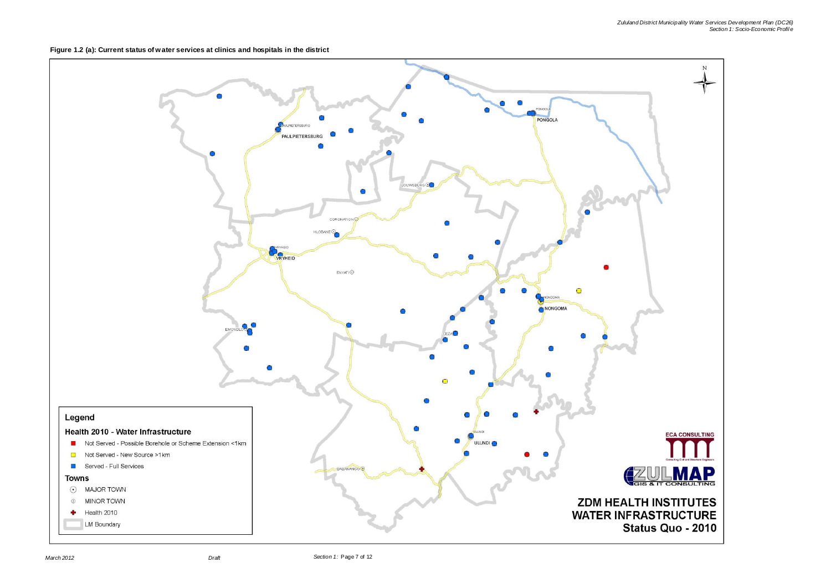**Figure 1.2 (a): Current status of water services at clinics and hospitals in the district**

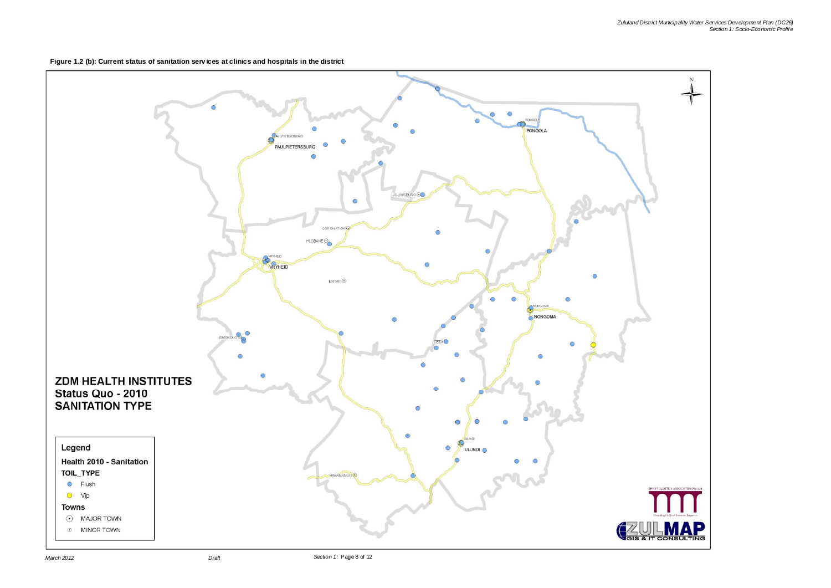**Figure 1.2 (b): Current status of sanitation serv ices at clinics and hospitals in the district**

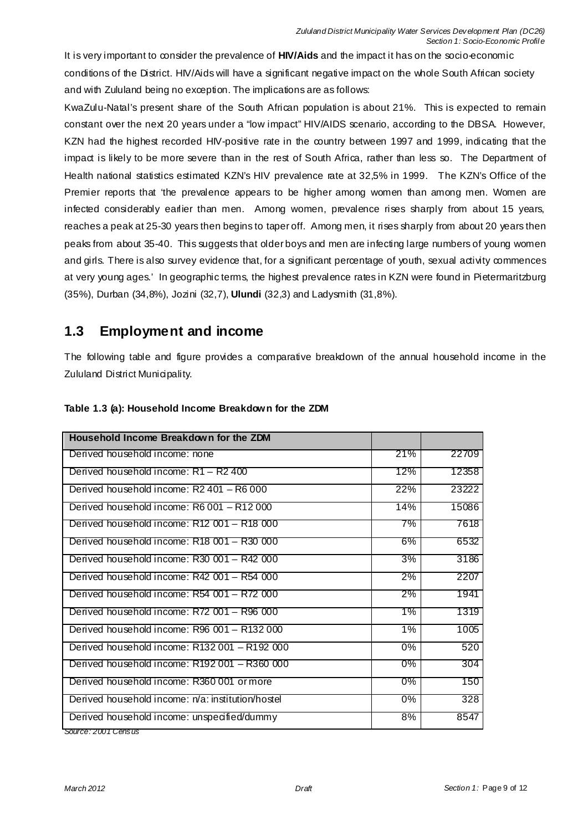It is very important to consider the prevalence of **HIV/Aids** and the impact it has on the socio-economic conditions of the District. HIV/Aids will have a significant negative impact on the whole South African society and with Zululand being no exception. The implications are as follows:

KwaZulu-Natal's present share of the South African population is about 21%. This is expected to remain constant over the next 20 years under a "low impact" HIV/AIDS scenario, according to the DBSA. However, KZN had the highest recorded HIV-positive rate in the country between 1997 and 1999, indicating that the impact is likely to be more severe than in the rest of South Africa, rather than less so. The Department of Health national statistics estimated KZN's HIV prevalence rate at 32,5% in 1999. The KZN's Office of the Premier reports that 'the prevalence appears to be higher among women than among men. Women are infected considerably earlier than men. Among women, prevalence rises sharply from about 15 years, reaches a peak at 25-30 years then begins to taper off. Among men, it rises sharply from about 20 years then peaks from about 35-40. This suggests that older boys and men are infecting large numbers of young women and girls. There is also survey evidence that, for a significant percentage of youth, sexual activity commences at very young ages.' In geographic terms, the highest prevalence rates in KZN were found in Pietermaritzburg (35%), Durban (34,8%), Jozini (32,7), **Ulundi** (32,3) and Ladysmith (31,8%).

# **1.3 Employment and income**

The following table and figure provides a comparative breakdown of the annual household income in the Zululand District Municipality.

| Household Income Breakdown for the ZDM            |       |       |
|---------------------------------------------------|-------|-------|
| Derived household income: none                    | 21%   | 22709 |
| Derived household income: R1 - R2 400             | 12%   | 12358 |
| Derived household income: $R2401 - R6000$         | 22%   | 23222 |
| Derived household income: R6 001 - R12 000        | 14%   | 15086 |
| Derived household income: R12 001 - R18 000       | 7%    | 7618  |
| Derived household income: R18 001 - R30 000       | $6\%$ | 6532  |
| Derived household income: $R30001 - R42000$       | 3%    | 3186  |
| Derived household income: R42 001 - R54 000       | 2%    | 2207  |
| Derived household income: R54 001 - R72 000       | $2\%$ | 1941  |
| Derived household income: R72 001 - R96 000       | 1%    | 1319  |
| Derived household income: R96 001 - R132 000      | 1%    | 1005  |
| Derived household income: R132 001 - R192 000     | 0%    | 520   |
| Derived household income: R192 001 - R360 000     | $0\%$ | 304   |
| Derived household income: R360 001 or more        | 0%    | 150   |
| Derived household income: n/a: institution/hostel | $0\%$ | 328   |
| Derived household income: unspecified/dummy       | 8%    | 8547  |
| Source: 2001 Census                               |       |       |

### **Table 1.3 (a): Household Income Breakdown for the ZDM**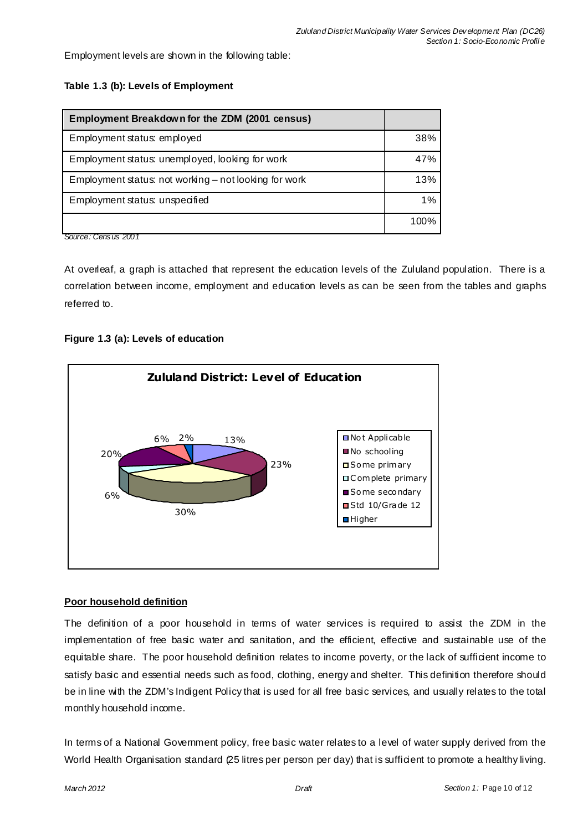Employment levels are shown in the following table:

| Employment Breakdown for the ZDM (2001 census)        |      |
|-------------------------------------------------------|------|
| Employment status: employed                           | 38%  |
| Employment status: unemployed, looking for work       | 47%  |
| Employment status: not working – not looking for work | 13%  |
| Employment status: unspecified                        | 1%   |
|                                                       | 100% |

At overleaf, a graph is attached that represent the education levels of the Zululand population. There is a correlation between income, employment and education levels as can be seen from the tables and graphs referred to.

### **Figure 1.3 (a): Levels of education**



#### **Poor household definition**

The definition of a poor household in terms of water services is required to assist the ZDM in the implementation of free basic water and sanitation, and the efficient, effective and sustainable use of the equitable share. The poor household definition relates to income poverty, or the lack of sufficient income to satisfy basic and essential needs such as food, clothing, energy and shelter. This definition therefore should be in line with the ZDM's Indigent Policy that is used for all free basic services, and usually relates to the total monthly household income.

In terms of a National Government policy, free basic water relates to a level of water supply derived from the World Health Organisation standard (25 litres per person per day) that is sufficient to promote a healthy living.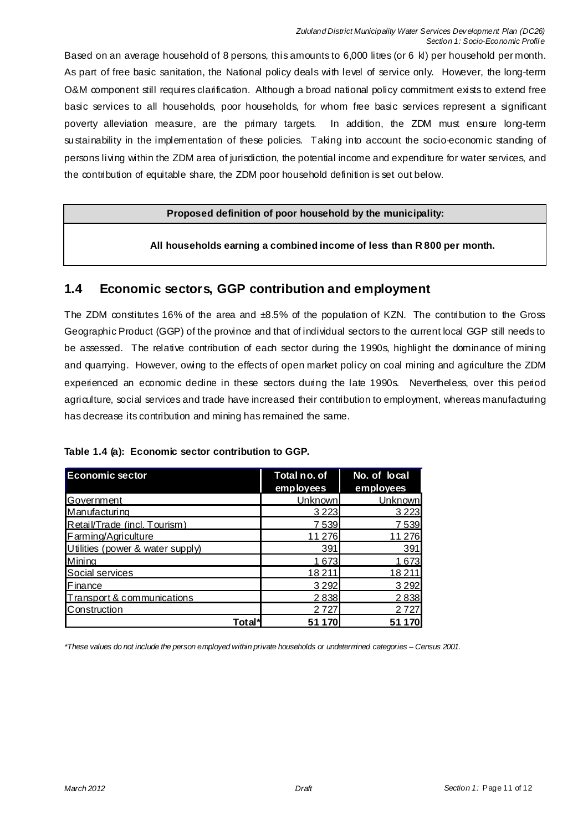Based on an average household of 8 persons, this amounts to 6,000 litres (or 6 kl) per household per month. As part of free basic sanitation, the National policy deals with level of service only. However, the long-term O&M component still requires clarification. Although a broad national policy commitment exists to extend free basic services to all households, poor households, for whom free basic services represent a significant poverty alleviation measure, are the primary targets. In addition, the ZDM must ensure long-term su stainability in the implementation of these policies. Taking into account the socio-economic standing of persons living within the ZDM area of jurisdiction, the potential income and expenditure for water services, and the contribution of equitable share, the ZDM poor household definition is set out below.

#### **Proposed definition of poor household by the municipality:**

**All households earning a combined income of less than R 800 per month.** 

### **1.4 Economic sectors, GGP contribution and employment**

The ZDM constitutes 16% of the area and ±8.5% of the population of KZN. The contribution to the Gross Geographic Product (GGP) of the province and that of individual sectors to the current local GGP still needs to be assessed. The relative contribution of each sector during the 1990s, highlight the dominance of mining and quarrying. However, owing to the effects of open market policy on coal mining and agriculture the ZDM experienced an economic dedine in these sectors during the late 1990s. Nevertheless, over this period agriculture, social services and trade have increased their contribution to employment, whereas manufacturing has decrease its contribution and mining has remained the same.

| Table 1.4 (a): Economic sector contribution to GGP. |  |
|-----------------------------------------------------|--|
|-----------------------------------------------------|--|

| <b>Economic sector</b>           | Total no. of<br>employees | No. of local<br>employees |
|----------------------------------|---------------------------|---------------------------|
| Government                       | Unknown                   | Unknown                   |
| Manufacturing                    | 3 2 2 3                   | 3 2 2 3                   |
| Retail/Trade (incl. Tourism)     | 7539                      | 7539                      |
| Farming/Agriculture              | 11 276                    | 11 276                    |
| Utilities (power & water supply) | 391                       | 391                       |
| Mining                           | 1673                      | 1673                      |
| Social services                  | 18211                     | 18 2 11                   |
| Finance                          | 3 2 9 2                   | 3 2 9 2                   |
| Transport & communications       | 2838                      | 2838                      |
| Construction                     | 2 7 2 7                   | 2 7 2 7                   |
| <b>Total</b>                     | 51 1                      | 51                        |

*\*These values do not include the person employed within private households or undetermined categories – Census 2001.*